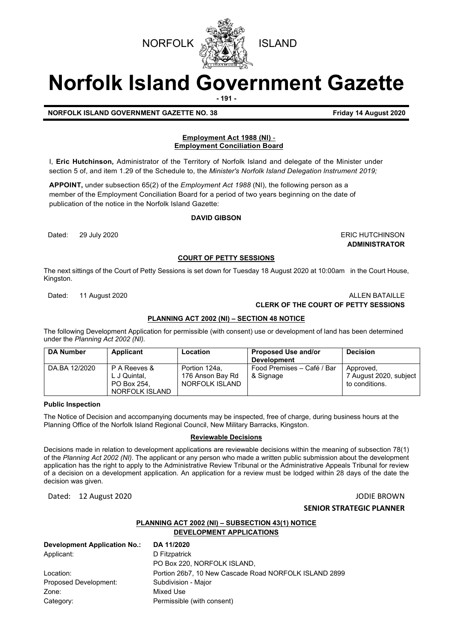



# **Norfolk Island Government Gazette**

**- 191 -**

**NORFOLK ISLAND GOVERNMENT GAZETTE NO. 38 Friday 14 August 2020**

#### **Employment Act 1988 (NI)** - **Employment Conciliation Board**

I, **Eric Hutchinson,** Administrator of the Territory of Norfolk Island and delegate of the Minister under section 5 of, and item 1.29 of the Schedule to, the *Minister's Norfolk Island Delegation lnstrument 2019;*

**APPOINT,** under subsection 65(2) of the *Employment Act 1988* (NI), the following person as a member of the Employment Conciliation Board for a period of two years beginning on the date of publication of the notice in the Norfolk Island Gazette:

#### **DAVID GIBSON**

Dated: 29 July 2020 ERIC HUTCHINSON

**ADMINISTRATOR**

#### **COURT OF PETTY SESSIONS**

The next sittings of the Court of Petty Sessions is set down for Tuesday 18 August 2020 at 10:00am in the Court House, Kingston.

#### Dated: 11 August 2020 ALLEN BATAILLE **CLERK OF THE COURT OF PETTY SESSIONS**

#### **PLANNING ACT 2002 (NI) – SECTION 48 NOTICE**

The following Development Application for permissible (with consent) use or development of land has been determined under the *Planning Act 2002 (NI).*

| <b>DA Number</b> | <b>Applicant</b>                                              | Location                                            | <b>Proposed Use and/or</b><br><b>Development</b> | <b>Decision</b>                                       |
|------------------|---------------------------------------------------------------|-----------------------------------------------------|--------------------------------------------------|-------------------------------------------------------|
| DA.BA 12/2020    | P A Reeves &<br>L J Quintal,<br>PO Box 254.<br>NORFOLK ISLAND | Portion 124a.<br>176 Anson Bay Rd<br>NORFOLK ISLAND | Food Premises - Café / Bar<br>& Signage          | Approved,<br>7 August 2020, subject<br>to conditions. |

#### **Public Inspection**

The Notice of Decision and accompanying documents may be inspected, free of charge, during business hours at the Planning Office of the Norfolk Island Regional Council, New Military Barracks, Kingston.

#### **Reviewable Decisions**

Decisions made in relation to development applications are reviewable decisions within the meaning of subsection 78(1) of the *Planning Act 2002 (NI).* The applicant or any person who made a written public submission about the development application has the right to apply to the Administrative Review Tribunal or the Administrative Appeals Tribunal for review of a decision on a development application. An application for a review must be lodged within 28 days of the date the decision was given.

Dated: 12 August 2020 JODIE BROWN

#### **SENIOR STRATEGIC PLANNER**

### **PLANNING ACT 2002 (NI) – SUBSECTION 43(1) NOTICE**

**DEVELOPMENT APPLICATIONS**

| <b>Development Application No.:</b> | DA 11/2020                                            |
|-------------------------------------|-------------------------------------------------------|
| Applicant:                          | D Fitzpatrick                                         |
|                                     | PO Box 220, NORFOLK ISLAND,                           |
| Location:                           | Portion 26b7, 10 New Cascade Road NORFOLK ISLAND 2899 |
| Proposed Development:               | Subdivision - Major                                   |
| Zone:                               | Mixed Use                                             |
| Category:                           | Permissible (with consent)                            |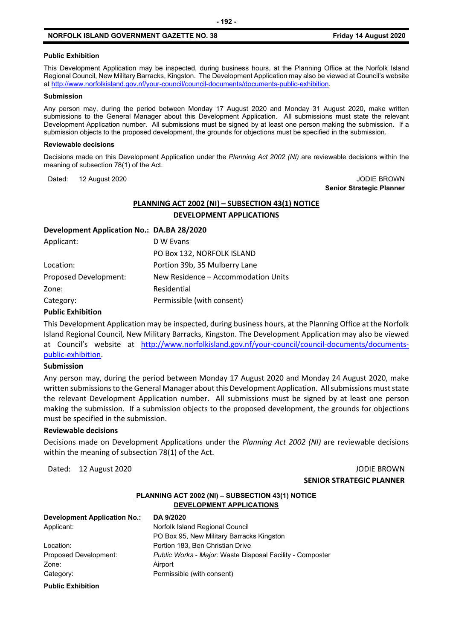#### **Public Exhibition**

This Development Application may be inspected, during business hours, at the Planning Office at the Norfolk Island Regional Council, New Military Barracks, Kingston. The Development Application may also be viewed at Council's website a[t http://www.norfolkisland.gov.nf/your-council/council-documents/documents-public-exhibition.](http://www.norfolkisland.gov.nf/your-council/council-documents/documents-public-exhibition)

#### **Submission**

Any person may, during the period between Monday 17 August 2020 and Monday 31 August 2020, make written submissions to the General Manager about this Development Application. All submissions must state the relevant Development Application number. All submissions must be signed by at least one person making the submission. If a submission objects to the proposed development, the grounds for objections must be specified in the submission.

#### **Reviewable decisions**

Decisions made on this Development Application under the *Planning Act 2002 (NI)* are reviewable decisions within the meaning of subsection 78(1) of the Act.

Dated: 12 August 2020 JODIE BROWN

### **Senior Strategic Planner**

#### **PLANNING ACT 2002 (NI) – SUBSECTION 43(1) NOTICE DEVELOPMENT APPLICATIONS**

#### **Development Application No.: DA.BA 28/2020**

| D W Evans                           |
|-------------------------------------|
| PO Box 132, NORFOLK ISLAND          |
| Portion 39b, 35 Mulberry Lane       |
| New Residence – Accommodation Units |
| Residential                         |
| Permissible (with consent)          |
|                                     |

#### **Public Exhibition**

This Development Application may be inspected, during business hours, at the Planning Office at the Norfolk Island Regional Council, New Military Barracks, Kingston. The Development Application may also be viewed at Council's website at [http://www.norfolkisland.gov.nf/your-council/council-documents/documents](http://www.norfolkisland.gov.nf/your-council/council-documents/documents-public-exhibition)[public-exhibition.](http://www.norfolkisland.gov.nf/your-council/council-documents/documents-public-exhibition)

#### **Submission**

Any person may, during the period between Monday 17 August 2020 and Monday 24 August 2020, make written submissions to the General Manager about this Development Application. All submissions must state the relevant Development Application number. All submissions must be signed by at least one person making the submission. If a submission objects to the proposed development, the grounds for objections must be specified in the submission.

#### **Reviewable decisions**

Decisions made on Development Applications under the *Planning Act 2002 (NI)* are reviewable decisions within the meaning of subsection 78(1) of the Act.

Dated: 12 August 2020 JODIE BROWN

## **SENIOR STRATEGIC PLANNER**

#### **PLANNING ACT 2002 (NI) – SUBSECTION 43(1) NOTICE DEVELOPMENT APPLICATIONS**

**Development Application No.: DA 9/2020** Applicant: Norfolk Island Regional Council

Zone: Airport

PO Box 95, New Military Barracks Kingston Location: Portion 183, Ben Christian Drive Proposed Development: *Public Works - Major:* Waste Disposal Facility - Composter Category: Permissible (with consent)

**Public Exhibition**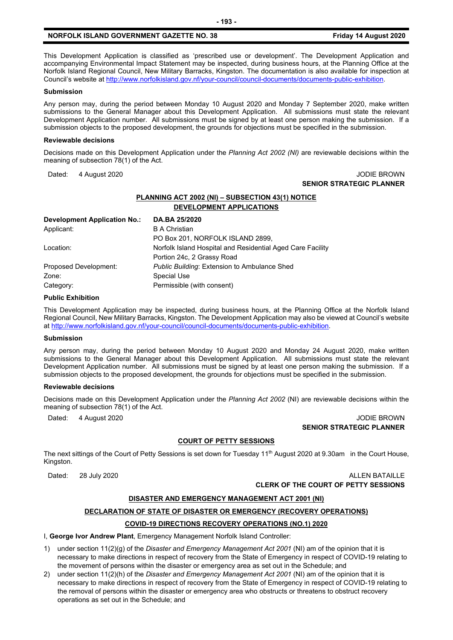This Development Application is classified as 'prescribed use or development'. The Development Application and accompanying Environmental Impact Statement may be inspected, during business hours, at the Planning Office at the Norfolk Island Regional Council, New Military Barracks, Kingston. The documentation is also available for inspection at Council's website a[t http://www.norfolkisland.gov.nf/your-council/council-documents/documents-public-exhibition.](http://www.norfolkisland.gov.nf/your-council/council-documents/documents-public-exhibition) 

#### **Submission**

Any person may, during the period between Monday 10 August 2020 and Monday 7 September 2020, make written submissions to the General Manager about this Development Application. All submissions must state the relevant Development Application number. All submissions must be signed by at least one person making the submission. If a submission objects to the proposed development, the grounds for objections must be specified in the submission.

#### **Reviewable decisions**

Decisions made on this Development Application under the *Planning Act 2002 (NI)* are reviewable decisions within the meaning of subsection 78(1) of the Act.

Dated: 4 August 2020 **JODIE BROWN** 

### **SENIOR STRATEGIC PLANNER**

#### **PLANNING ACT 2002 (NI) – SUBSECTION 43(1) NOTICE DEVELOPMENT APPLICATIONS**

| Development Application No.: | DA.BA 25/2020                                              |
|------------------------------|------------------------------------------------------------|
| Applicant:                   | <b>B</b> A Christian                                       |
|                              | PO Box 201, NORFOLK ISLAND 2899,                           |
| Location:                    | Norfolk Island Hospital and Residential Aged Care Facility |
|                              | Portion 24c, 2 Grassy Road                                 |
| Proposed Development:        | Public Building: Extension to Ambulance Shed               |
| Zone:                        | <b>Special Use</b>                                         |
| Category:                    | Permissible (with consent)                                 |

#### **Public Exhibition**

This Development Application may be inspected, during business hours, at the Planning Office at the Norfolk Island Regional Council, New Military Barracks, Kingston. The Development Application may also be viewed at Council's website a[t http://www.norfolkisland.gov.nf/your-council/council-documents/documents-public-exhibition.](http://www.norfolkisland.gov.nf/your-council/council-documents/documents-public-exhibition)

#### **Submission**

Any person may, during the period between Monday 10 August 2020 and Monday 24 August 2020, make written submissions to the General Manager about this Development Application. All submissions must state the relevant Development Application number. All submissions must be signed by at least one person making the submission. If a submission objects to the proposed development, the grounds for objections must be specified in the submission.

#### **Reviewable decisions**

Decisions made on this Development Application under the *Planning Act 2002* (NI) are reviewable decisions within the meaning of subsection 78(1) of the Act.

Dated: 4 August 2020 **JODIE BROWN SENIOR STRATEGIC PLANNER** 

#### **COURT OF PETTY SESSIONS**

The next sittings of the Court of Petty Sessions is set down for Tuesday 11<sup>th</sup> August 2020 at 9.30am in the Court House, Kingston.

Dated: 28 July 2020 ALLEN BATAILLE **CLERK OF THE COURT OF PETTY SESSIONS**

#### **DISASTER AND EMERGENCY MANAGEMENT ACT 2001 (NI)**

#### **DECLARATION OF STATE OF DISASTER OR EMERGENCY (RECOVERY OPERATIONS)**

#### **COVID-19 DIRECTIONS RECOVERY OPERATIONS (NO.1) 2020**

I, **George Ivor Andrew Plant**, Emergency Management Norfolk Island Controller:

- 1) under section 11(2)(g) of the *Disaster and Emergency Management Act 2001* (NI) am of the opinion that it is necessary to make directions in respect of recovery from the State of Emergency in respect of COVID-19 relating to the movement of persons within the disaster or emergency area as set out in the Schedule; and
- 2) under section 11(2)(h) of the *Disaster and Emergency Management Act 2001* (NI) am of the opinion that it is necessary to make directions in respect of recovery from the State of Emergency in respect of COVID-19 relating to the removal of persons within the disaster or emergency area who obstructs or threatens to obstruct recovery operations as set out in the Schedule; and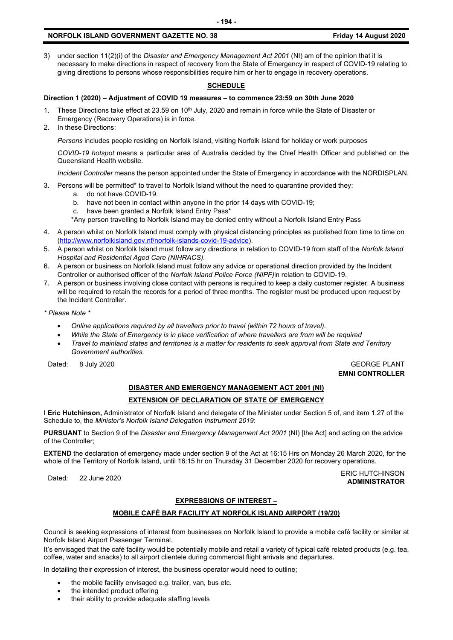3) under section 11(2)(i) of the *Disaster and Emergency Management Act 2001* (NI) am of the opinion that it is necessary to make directions in respect of recovery from the State of Emergency in respect of COVID-19 relating to giving directions to persons whose responsibilities require him or her to engage in recovery operations.

#### **SCHEDULE**

#### **Direction 1 (2020) – Adjustment of COVID 19 measures – to commence 23:59 on 30th June 2020**

- 1. These Directions take effect at 23.59 on 10<sup>th</sup> July, 2020 and remain in force while the State of Disaster or Emergency (Recovery Operations) is in force.
- 2. In these Directions:

*Persons* includes people residing on Norfolk Island, visiting Norfolk Island for holiday or work purposes

*COVID-19 hotspot* means a particular area of Australia decided by the Chief Health Officer and published on the Queensland Health website.

*Incident Controller* means the person appointed under the State of Emergency in accordance with the NORDISPLAN.

- 3. Persons will be permitted\* to travel to Norfolk Island without the need to quarantine provided they:
	- a. do not have COVID-19.
		- b. have not been in contact within anyone in the prior 14 days with COVID-19;
		- c. have been granted a Norfolk Island Entry Pass\*
		- \*Any person travelling to Norfolk Island may be denied entry without a Norfolk Island Entry Pass
- 4. A person whilst on Norfolk Island must comply with physical distancing principles as published from time to time on [\(http://www.norfolkisland.gov.nf/norfolk-islands-covid-19-advice\)](http://www.norfolkisland.gov.nf/norfolk-islands-covid-19-advice).
- 5. A person whilst on Norfolk Island must follow any directions in relation to COVID-19 from staff of the *Norfolk Island Hospital and Residential Aged Care (NIHRACS).*
- 6. A person or business on Norfolk Island must follow any advice or operational direction provided by the Incident Controller or authorised officer of the *Norfolk Island Police Force (NIPF)*in relation to COVID-19.
- 7. A person or business involving close contact with persons is required to keep a daily customer register. A business will be required to retain the records for a period of three months. The register must be produced upon request by the Incident Controller.

*\* Please Note \** 

- *Online applications required by all travellers prior to travel (within 72 hours of travel).*
- *While the State of Emergency is in place verification of where travellers are from will be required*
- *Travel to mainland states and territories is a matter for residents to seek approval from State and Territory Government authorities.*

Dated: 8 July 2020 GEORGE PLANT

**EMNI CONTROLLER**

#### **DISASTER AND EMERGENCY MANAGEMENT ACT 2001 (NI) EXTENSION OF DECLARATION OF STATE OF EMERGENCY**

I **Eric Hutchinson,** Administrator of Norfolk Island and delegate of the Minister under Section 5 of, and item 1.27 of the Schedule to, the *Minister's Norfolk Island Delegation Instrument 2019*:

**PURSUANT** to Section 9 of the *Disaster and Emergency Management Act 2001* (NI) [the Act] and acting on the advice of the Controller;

**EXTEND** the declaration of emergency made under section 9 of the Act at 16:15 Hrs on Monday 26 March 2020, for the whole of the Territory of Norfolk Island, until 16:15 hr on Thursday 31 December 2020 for recovery operations.

Dated: 22 June 2020<br>Dated: 22 June 2020 **ADMINISTRATOR**

#### **EXPRESSIONS OF INTEREST –**

#### **MOBILE CAFÉ BAR FACILITY AT NORFOLK ISLAND AIRPORT (19/20)**

Council is seeking expressions of interest from businesses on Norfolk Island to provide a mobile café facility or similar at Norfolk Island Airport Passenger Terminal.

It's envisaged that the café facility would be potentially mobile and retail a variety of typical café related products (e.g. tea, coffee, water and snacks) to all airport clientele during commercial flight arrivals and departures.

In detailing their expression of interest, the business operator would need to outline;

- the mobile facility envisaged e.g. trailer, van, bus etc.
- the intended product offering
- their ability to provide adequate staffing levels